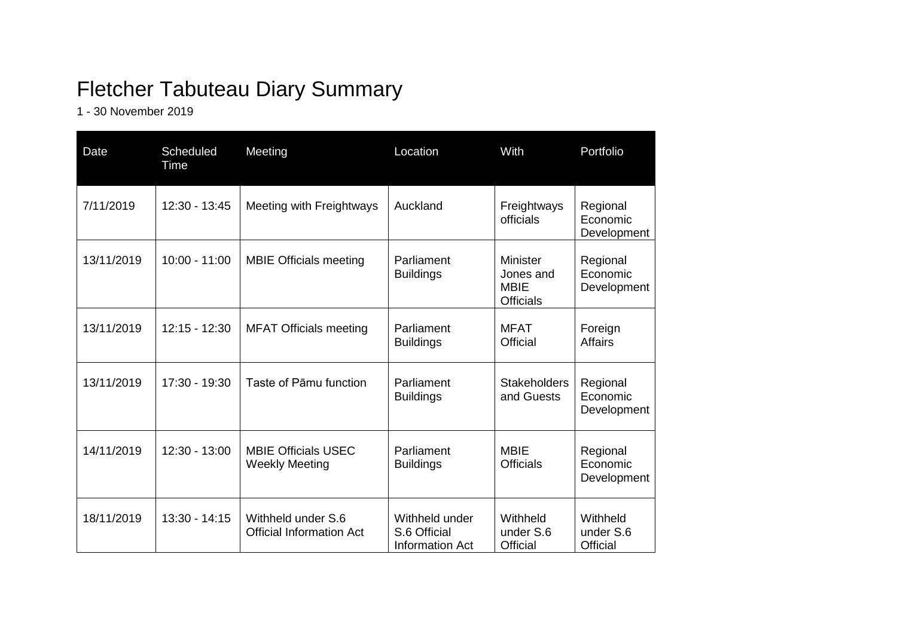## Fletcher Tabuteau Diary Summary

1 - 30 November 2019

| Date       | Scheduled<br>Time | Meeting                                               | Location                                          | With                                                     | Portfolio                                |
|------------|-------------------|-------------------------------------------------------|---------------------------------------------------|----------------------------------------------------------|------------------------------------------|
| 7/11/2019  | 12:30 - 13:45     | Meeting with Freightways                              | Auckland                                          | Freightways<br>officials                                 | Regional<br>Economic<br>Development      |
| 13/11/2019 | $10:00 - 11:00$   | <b>MBIE Officials meeting</b>                         | Parliament<br><b>Buildings</b>                    | Minister<br>Jones and<br><b>MBIE</b><br><b>Officials</b> | Regional<br>Economic<br>Development      |
| 13/11/2019 | $12:15 - 12:30$   | <b>MFAT Officials meeting</b>                         | Parliament<br><b>Buildings</b>                    | <b>MFAT</b><br>Official                                  | Foreign<br><b>Affairs</b>                |
| 13/11/2019 | 17:30 - 19:30     | Taste of Pāmu function                                | Parliament<br><b>Buildings</b>                    | <b>Stakeholders</b><br>and Guests                        | Regional<br>Economic<br>Development      |
| 14/11/2019 | $12:30 - 13:00$   | <b>MBIE Officials USEC</b><br><b>Weekly Meeting</b>   | Parliament<br><b>Buildings</b>                    | <b>MBIE</b><br><b>Officials</b>                          | Regional<br>Economic<br>Development      |
| 18/11/2019 | $13:30 - 14:15$   | Withheld under S.6<br><b>Official Information Act</b> | Withheld under<br>S.6 Official<br>Information Act | Withheld<br>under S.6<br>Official                        | Withheld<br>under S.6<br><b>Official</b> |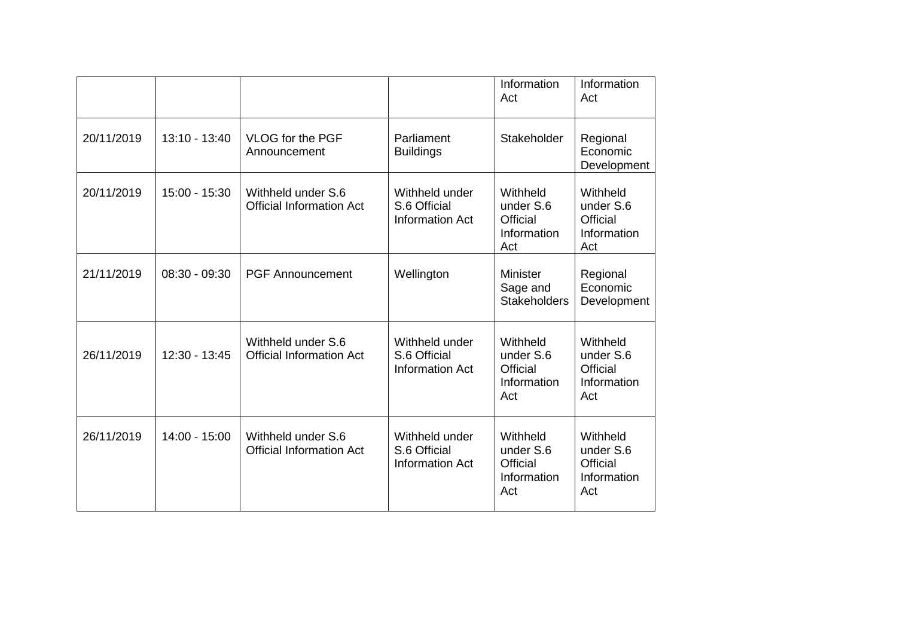|            |                 |                                                       |                                                          | Information<br>Act                                             | Information<br>Act                                             |
|------------|-----------------|-------------------------------------------------------|----------------------------------------------------------|----------------------------------------------------------------|----------------------------------------------------------------|
| 20/11/2019 | $13:10 - 13:40$ | <b>VLOG for the PGF</b><br>Announcement               | Parliament<br><b>Buildings</b>                           | Stakeholder                                                    | Regional<br>Economic<br>Development                            |
| 20/11/2019 | 15:00 - 15:30   | Withheld under S.6<br><b>Official Information Act</b> | Withheld under<br>S.6 Official<br><b>Information Act</b> | Withheld<br>under S.6<br>Official<br>Information<br>Act        | Withheld<br>under S.6<br><b>Official</b><br>Information<br>Act |
| 21/11/2019 | 08:30 - 09:30   | <b>PGF Announcement</b>                               | Wellington                                               | <b>Minister</b><br>Sage and<br><b>Stakeholders</b>             | Regional<br>Economic<br>Development                            |
| 26/11/2019 | 12:30 - 13:45   | Withheld under S.6<br><b>Official Information Act</b> | Withheld under<br>S.6 Official<br><b>Information Act</b> | Withheld<br>under S.6<br>Official<br>Information<br>Act        | Withheld<br>under S.6<br><b>Official</b><br>Information<br>Act |
| 26/11/2019 | 14:00 - 15:00   | Withheld under S.6<br><b>Official Information Act</b> | Withheld under<br>S.6 Official<br><b>Information Act</b> | Withheld<br>under S.6<br><b>Official</b><br>Information<br>Act | Withheld<br>under S.6<br><b>Official</b><br>Information<br>Act |